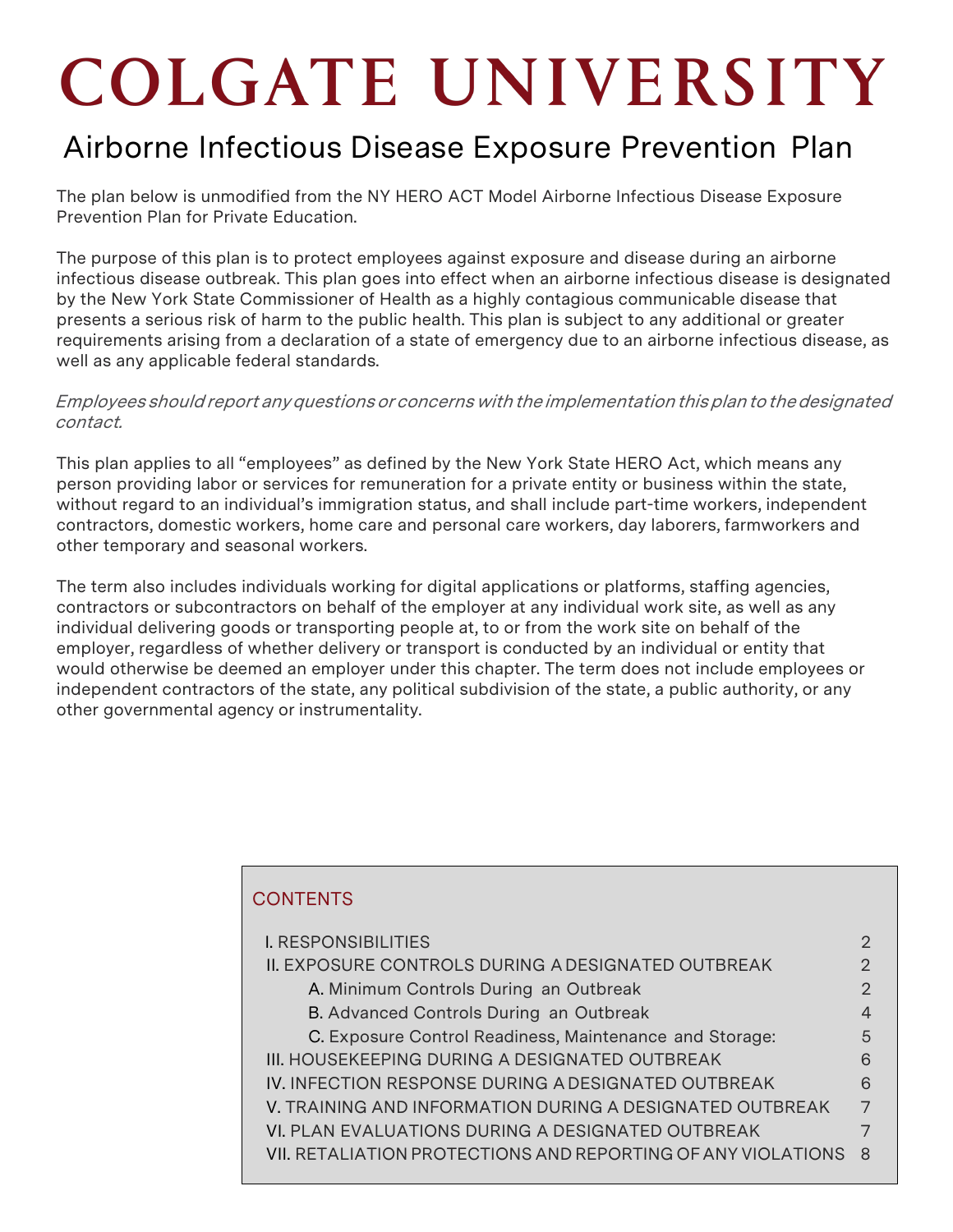# **COLGATE UNIVERSITY**

# Airborne Infectious Disease Exposure Prevention Plan

The plan below is unmodified from the NY HERO ACT Model Airborne Infectious Disease Exposure Prevention Plan for Private Education.

The purpose of this plan is to protect employees against exposure and disease during an airborne infectious disease outbreak. This plan goes into effect when an airborne infectious disease is designated by the New York State Commissioner of Health as a highly contagious communicable disease that presents a serious risk of harm to the public health. This plan is subject to any additional or greater requirements arising from a declaration of a state of emergency due to an airborne infectious disease, as well as any applicable federal standards.

#### Employees should report any questions or concerns with the implementation this plan to the designated contact.

This plan applies to all "employees" as defined by the New York State HERO Act, which means any person providing labor or services for remuneration for a private entity or business within the state, without regard to an individual's immigration status, and shall include part-time workers, independent contractors, domestic workers, home care and personal care workers, day laborers, farmworkers and other temporary and seasonal workers.

The term also includes individuals working for digital applications or platforms, staffing agencies, contractors or subcontractors on behalf of the employer at any individual work site, as well as any individual delivering goods or transporting people at, to or from the work site on behalf of the employer, regardless of whether delivery or transport is conducted by an individual or entity that would otherwise be deemed an employer under this chapter. The term does not include employees or independent contractors of the state, any political subdivision of the state, a public authority, or any other governmental agency or instrumentality.

# **CONTENTS** I. [RESPONSIBILITIES](#page-1-0) 2 II. EXPOSURE CONTROLS DURING A DESIGNATED OUTBREAK 2 A. [Minimum Controls During](#page-1-0) an Outbreak 2 B. [Advanced Controls During](#page-4-0) an Outbreak 4 C. Exposure Control Readiness, Maintenance and Storage: 6 III. [HOUSEKEEPING DURING A](#page-6-0) DESIGNATED OUTBREAK 6 IV. INFECTION RESPONSE DURING A DESIGNATED OUTBREAK 6 V. TRAINING AND [INFORMATION](#page-6-0) DURING A DESIGNATED OUTBREAK 7 VI. PLAN EVALUATIONS DURING A DESIGNATED OUTBREAK 7 VII. RETALIATION [PROTECTIONS](#page-8-0) AND REPORTING OF ANY VIOLATIONS 8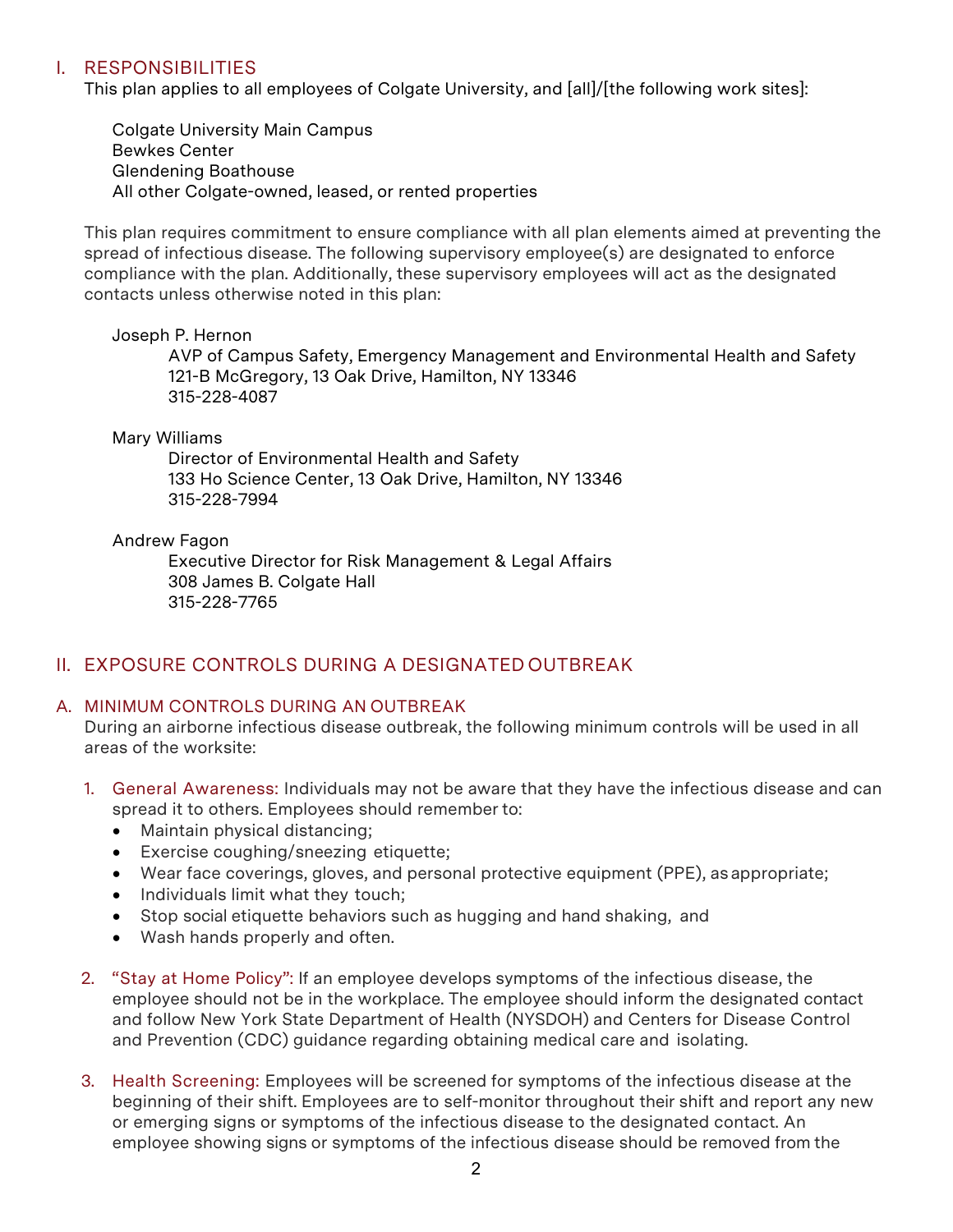# <span id="page-1-0"></span>I. RESPONSIBILITIES

This plan applies to all employees of Colgate University, and [all]/[the following work sites]:

Colgate University Main Campus Bewkes Center Glendening Boathouse All other Colgate-owned, leased, or rented properties

This plan requires commitment to ensure compliance with all plan elements aimed at preventing the spread of infectious disease. The following supervisory employee(s) are designated to enforce compliance with the plan. Additionally, these supervisory employees will act as the designated contacts unless otherwise noted in this plan:

#### Joseph P. Hernon

AVP of Campus Safety, Emergency Management and Environmental Health and Safety 121-B McGregory, 13 Oak Drive, Hamilton, NY 13346 315-228-4087

#### Mary Williams

Director of Environmental Health and Safety 133 Ho Science Center, 13 Oak Drive, Hamilton, NY 13346 315-228-7994

#### Andrew Fagon

Executive Director for Risk Management & Legal Affairs 308 James B. Colgate Hall 315-228-7765

# II. EXPOSURE CONTROLS DURING A DESIGNATED OUTBREAK

#### A. MINIMUM CONTROLS DURING AN OUTBREAK

During an airborne infectious disease outbreak, the following minimum controls will be used in all areas of the worksite:

- 1. General Awareness: Individuals may not be aware that they have the infectious disease and can spread it to others. Employees should remember to:
	- Maintain physical distancing;
	- Exercise coughing/sneezing etiquette;
	- Wear face coverings, gloves, and personal protective equipment (PPE), asappropriate;
	- Individuals limit what they touch;
	- Stop social etiquette behaviors such as hugging and hand shaking, and
	- Wash hands properly and often.
- 2. "Stay at Home Policy": If an employee develops symptoms of the infectious disease, the employee should not be in the workplace. The employee should inform the designated contact and follow New York State Department of Health (NYSDOH) and Centers for Disease Control and Prevention (CDC) guidance regarding obtaining medical care and isolating.
- 3. Health Screening: Employees will be screened for symptoms of the infectious disease at the beginning of their shift. Employees are to self-monitor throughout their shift and report any new or emerging signs or symptoms of the infectious disease to the designated contact. An employee showing signs or symptoms of the infectious disease should be removed from the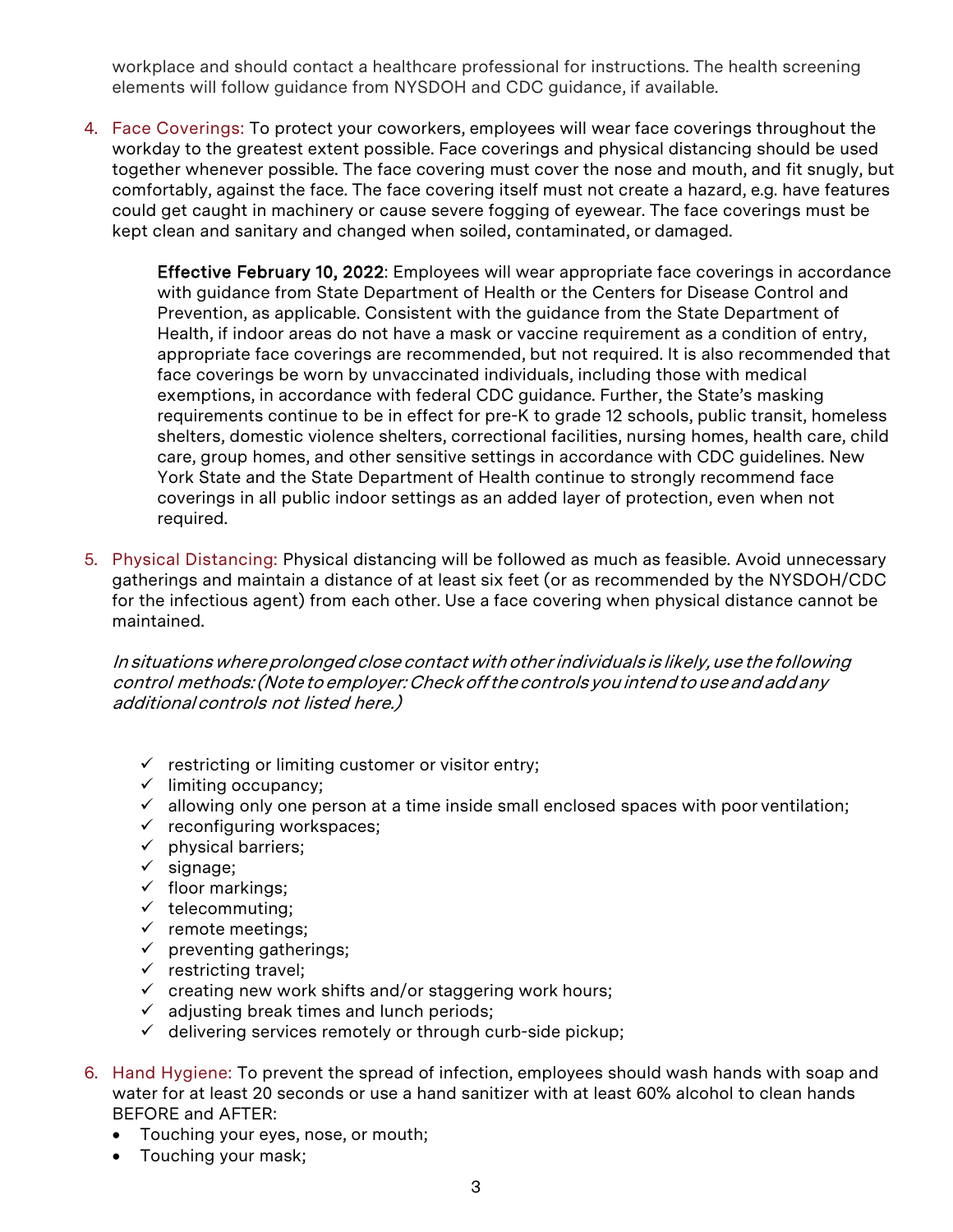workplace and should contact a healthcare professional for instructions. The health screening elements will follow guidance from NYSDOH and CDC guidance, if available.

4. Face Coverings: To protect your coworkers, employees will wear face coverings throughout the workday to the greatest extent possible. Face coverings and physical distancing should be used together whenever possible. The face covering must cover the nose and mouth, and fit snugly, but comfortably, against the face. The face covering itself must not create a hazard, e.g. have features could get caught in machinery or cause severe fogging of eyewear. The face coverings must be kept clean and sanitary and changed when soiled, contaminated, or damaged.

Effective February 10, 2022: Employees will wear appropriate face coverings in accordance with guidance from State Department of Health or the Centers for Disease Control and Prevention, as applicable. Consistent with the guidance from the State Department of Health, if indoor areas do not have a mask or vaccine requirement as a condition of entry, appropriate face coverings are recommended, but not required. It is also recommended that face coverings be worn by unvaccinated individuals, including those with medical exemptions, in accordance with federal CDC guidance. Further, the State's masking requirements continue to be in effect for pre-K to grade 12 schools, public transit, homeless shelters, domestic violence shelters, correctional facilities, nursing homes, health care, child care, group homes, and other sensitive settings in accordance with CDC guidelines. New York State and the State Department of Health continue to strongly recommend face coverings in all public indoor settings as an added layer of protection, even when not required.

5. Physical Distancing: Physical distancing will be followed as much as feasible. Avoid unnecessary gatherings and maintain a distance of at least six feet (or as recommended by the NYSDOH/CDC for the infectious agent) from each other. Use a face covering when physical distance cannot be maintained.

In situations where prolonged close contact with other individuals is likely, use the following control methods: (Note to employer: Check off the controls you intend to use and add any additionalcontrols not listed here.)

- $\checkmark$  restricting or limiting customer or visitor entry;
- $\checkmark$  limiting occupancy;
- $\checkmark$  allowing only one person at a time inside small enclosed spaces with poor ventilation;
- $\checkmark$  reconfiguring workspaces;
- $\checkmark$  physical barriers;
- $\checkmark$  signage;
- $\checkmark$  floor markings;
- $\checkmark$  telecommuting;
- $\checkmark$  remote meetings;
- $\checkmark$  preventing gatherings;
- $\checkmark$  restricting travel;
- $\checkmark$  creating new work shifts and/or staggering work hours;
- $\checkmark$  adjusting break times and lunch periods;
- $\checkmark$  delivering services remotely or through curb-side pickup;
- 6. Hand Hygiene: To prevent the spread of infection, employees should wash hands with soap and water for at least 20 seconds or use a hand sanitizer with at least 60% alcohol to clean hands BEFORE and AFTER:
	- Touching your eyes, nose, or mouth;
	- Touching your mask;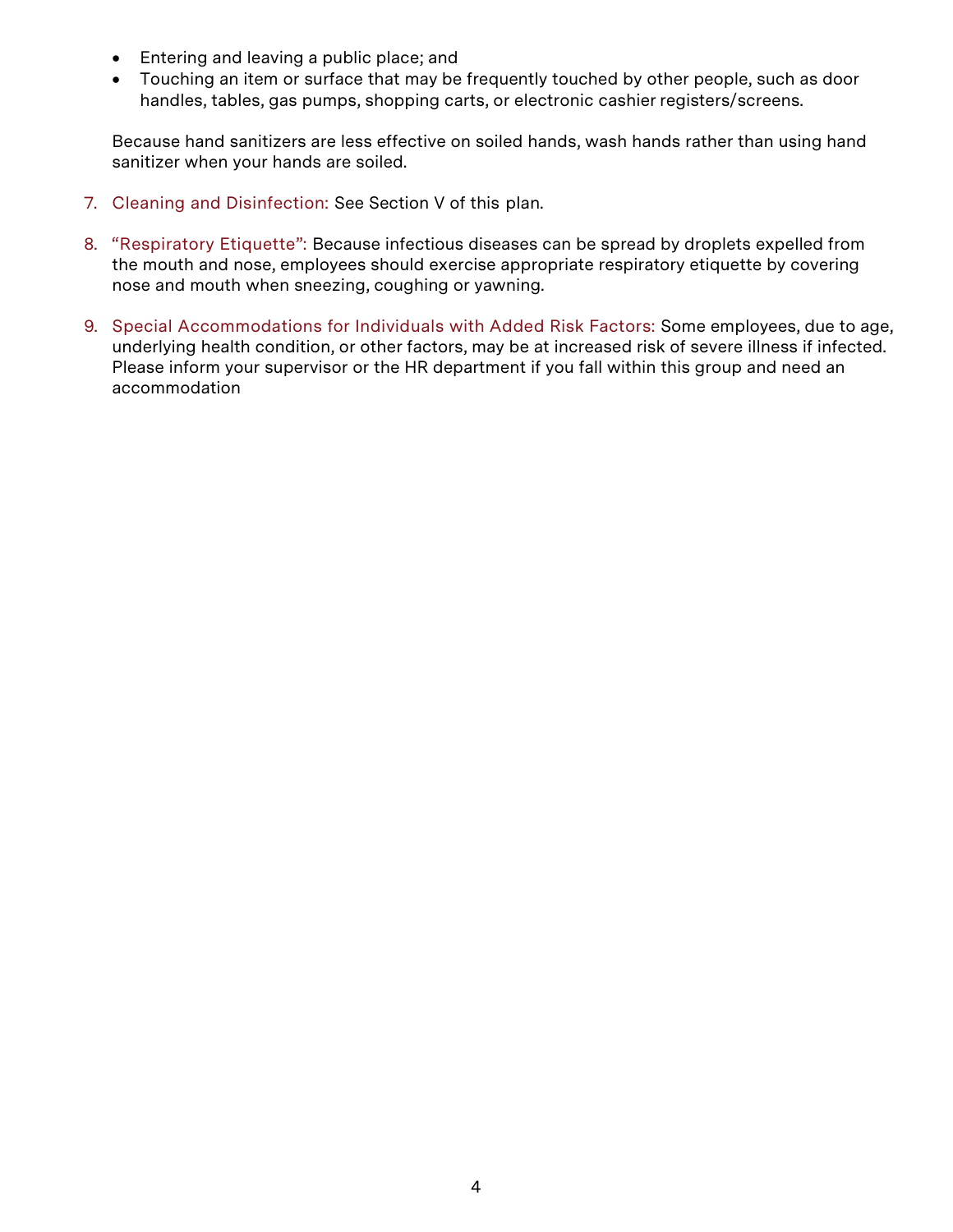- Entering and leaving a public place; and
- Touching an item or surface that may be frequently touched by other people, such as door handles, tables, gas pumps, shopping carts, or electronic cashier registers/screens.

Because hand sanitizers are less effective on soiled hands, wash hands rather than using hand sanitizer when your hands are soiled.

- 7. Cleaning and Disinfection: See Section V of this plan.
- 8. "Respiratory Etiquette": Because infectious diseases can be spread by droplets expelled from the mouth and nose, employees should exercise appropriate respiratory etiquette by covering nose and mouth when sneezing, coughing or yawning.
- 9. Special Accommodations for Individuals with Added Risk Factors: Some employees, due to age, underlying health condition, or other factors, may be at increased risk of severe illness if infected. Please inform your supervisor or the HR department if you fall within this group and need an accommodation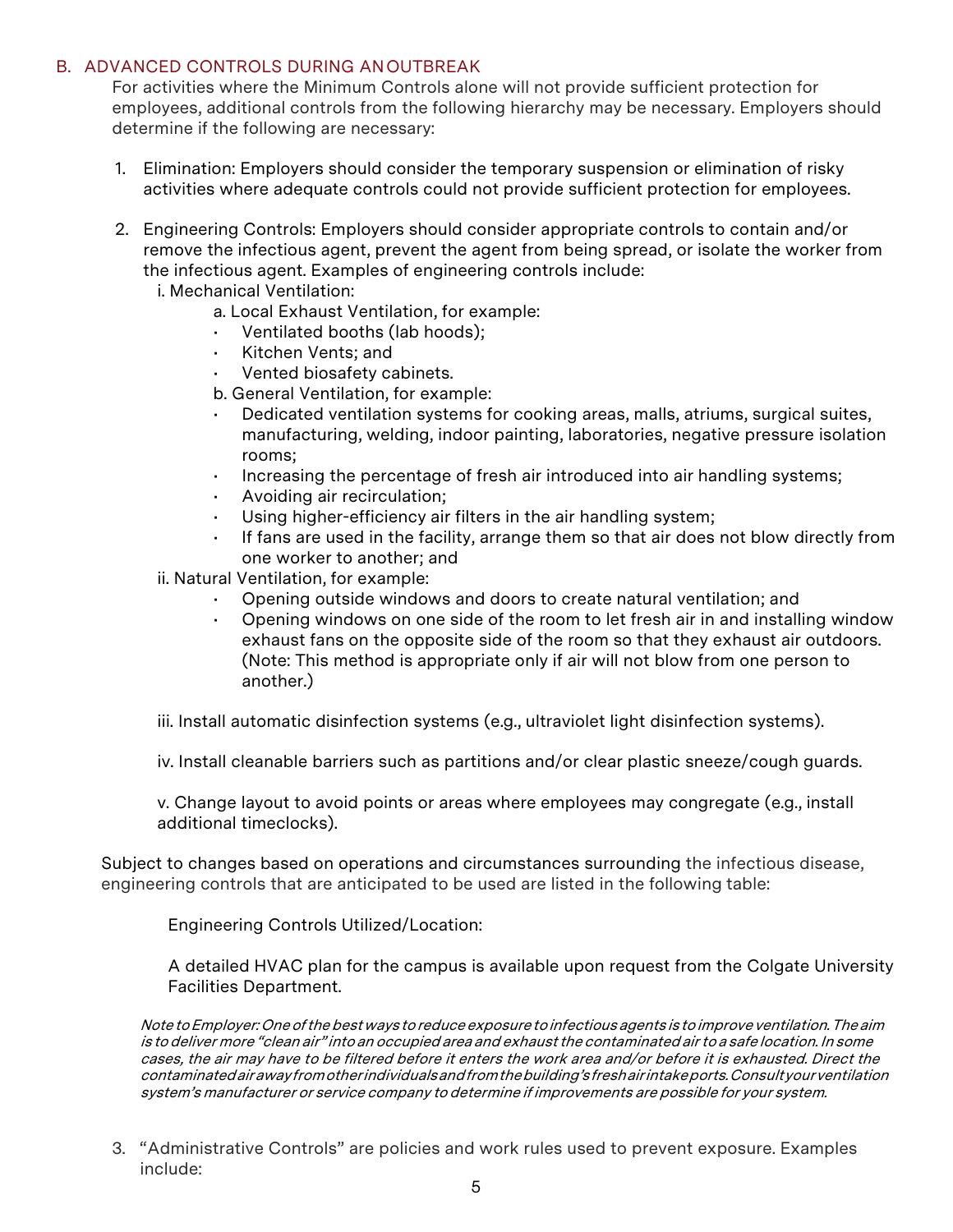#### <span id="page-4-0"></span>B. ADVANCED CONTROLS DURING ANOUTBREAK

For activities where the Minimum Controls alone will not provide sufficient protection for employees, additional controls from the following hierarchy may be necessary. Employers should determine if the following are necessary:

- 1. Elimination: Employers should consider the temporary suspension or elimination of risky activities where adequate controls could not provide sufficient protection for employees.
- 2. Engineering Controls: Employers should consider appropriate controls to contain and/or remove the infectious agent, prevent the agent from being spread, or isolate the worker from the infectious agent. Examples of engineering controls include:
	- i. Mechanical Ventilation:
		- a. Local Exhaust Ventilation, for example:
		- Ventilated booths (lab hoods);
		- Kitchen Vents; and
		- Vented biosafety cabinets.
		- b. General Ventilation, for example:
		- Dedicated ventilation systems for cooking areas, malls, atriums, surgical suites, manufacturing, welding, indoor painting, laboratories, negative pressure isolation rooms;
		- Increasing the percentage of fresh air introduced into air handling systems;
		- Avoiding air recirculation;
		- Using higher-efficiency air filters in the air handling system;
		- If fans are used in the facility, arrange them so that air does not blow directly from one worker to another; and
	- ii. Natural Ventilation, for example:
		- Opening outside windows and doors to create natural ventilation; and
		- Opening windows on one side of the room to let fresh air in and installing window exhaust fans on the opposite side of the room so that they exhaust air outdoors. (Note: This method is appropriate only if air will not blow from one person to another.)

iii. Install automatic disinfection systems (e.g., ultraviolet light disinfection systems).

iv. Install cleanable barriers such as partitions and/or clear plastic sneeze/cough guards.

v. Change layout to avoid points or areas where employees may congregate (e.g., install additional timeclocks).

Subject to changes based on operations and circumstances surrounding the infectious disease, engineering controls that are anticipated to be used are listed in the following table:

Engineering Controls Utilized/Location:

A detailed HVAC plan for the campus is available upon request from the Colgate University Facilities Department.

Note to Employer: One of the best ways to reduce exposure to infectious agents is to improve ventilation. The aim is todeliver more "clean air" into an occupied area and exhaustthe contaminated airto <sup>a</sup> safe location. In some cases, the air may have to be filtered before it enters the work area and/or before it is exhausted. Direct the contaminatedairawayfromotherindividualsandfromthebuilding'sfreshairintakeports.Consultyourventilation system's manufacturer or service company to determine if improvements are possible for your system.

3. "Administrative Controls" are policies and work rules used to prevent exposure. Examples include: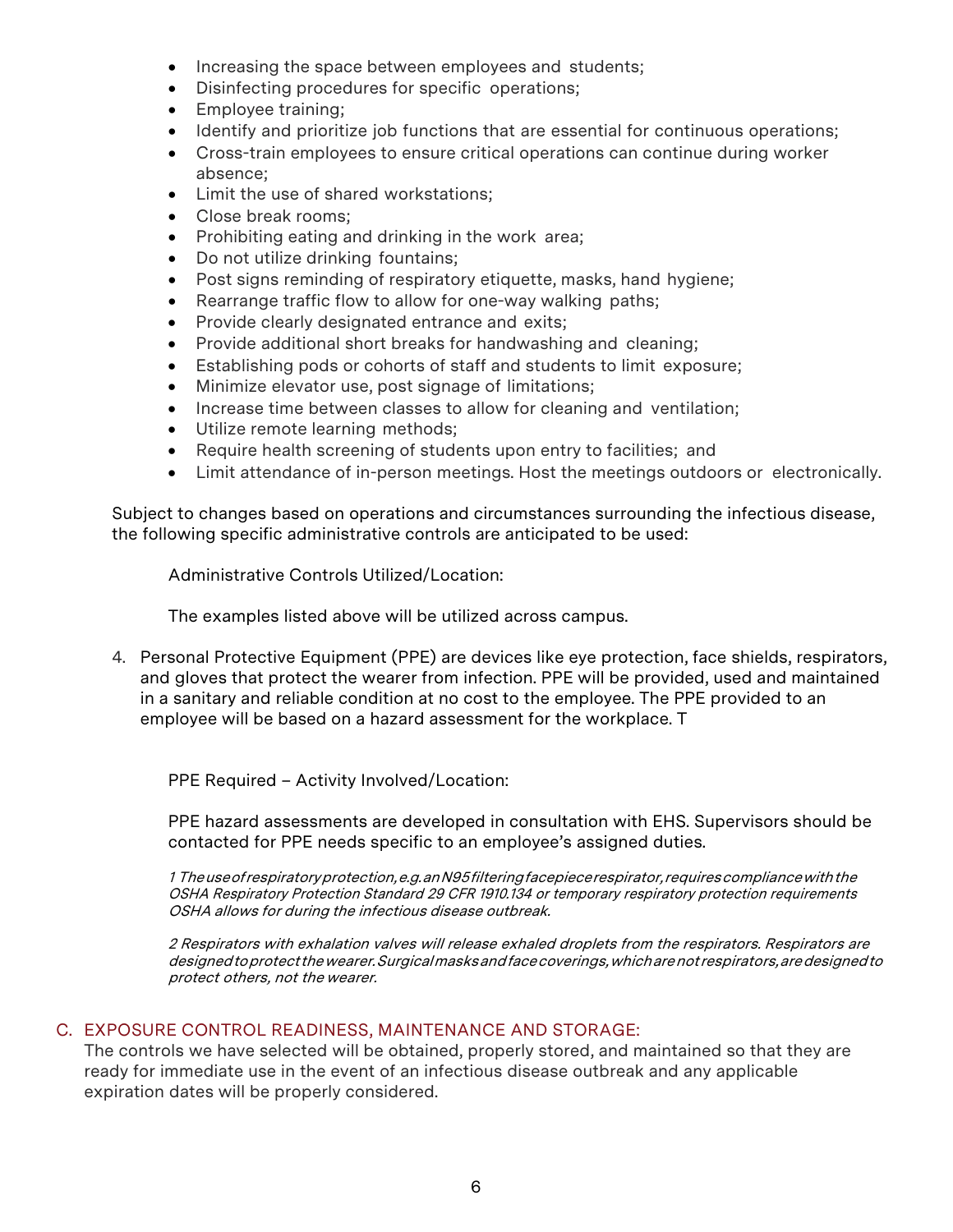- Increasing the space between employees and students;
- Disinfecting procedures for specific operations;
- Employee training;
- Identify and prioritize job functions that are essential for continuous operations;
- Cross-train employees to ensure critical operations can continue during worker absence;
- Limit the use of shared workstations;
- Close break rooms;
- Prohibiting eating and drinking in the work area;
- Do not utilize drinking fountains;
- Post signs reminding of respiratory etiquette, masks, hand hygiene;
- Rearrange traffic flow to allow for one-way walking paths;
- Provide clearly designated entrance and exits;
- Provide additional short breaks for handwashing and cleaning;
- Establishing pods or cohorts of staff and students to limit exposure;
- Minimize elevator use, post signage of limitations;
- Increase time between classes to allow for cleaning and ventilation;
- Utilize remote learning methods;
- Require health screening of students upon entry to facilities; and
- Limit attendance of in-person meetings. Host the meetings outdoors or electronically.

Subject to changes based on operations and circumstances surrounding the infectious disease, the following specific administrative controls are anticipated to be used:

Administrative Controls Utilized/Location:

The examples listed above will be utilized across campus.

4. Personal Protective Equipment (PPE) are devices like eye protection, face shields, respirators, and gloves that protect the wearer from infection. PPE will be provided, used and maintained in a sanitary and reliable condition at no cost to the employee. The PPE provided to an employee will be based on a hazard assessment for the workplace. T

PPE Required – Activity Involved/Location:

PPE hazard assessments are developed in consultation with EHS. Supervisors should be contacted for PPE needs specific to an employee's assigned duties.

1 Theuseofrespiratoryprotection,e.g.anN95filteringfacepiecerespirator,requirescompliancewiththe OSHA Respiratory Protection Standard 29 CFR 1910.134 or temporary respiratory protection requirements OSHA allows for during the infectious disease outbreak.

2 Respirators with exhalation valves will release exhaled droplets from the respirators. Respirators are designedtoprotectthewearer.Surgicalmasksandfacecoverings,whicharenotrespirators,aredesignedto protect others, not the wearer.

#### C. EXPOSURE CONTROL READINESS, MAINTENANCE AND STORAGE:

The controls we have selected will be obtained, properly stored, and maintained so that they are ready for immediate use in the event of an infectious disease outbreak and any applicable expiration dates will be properly considered.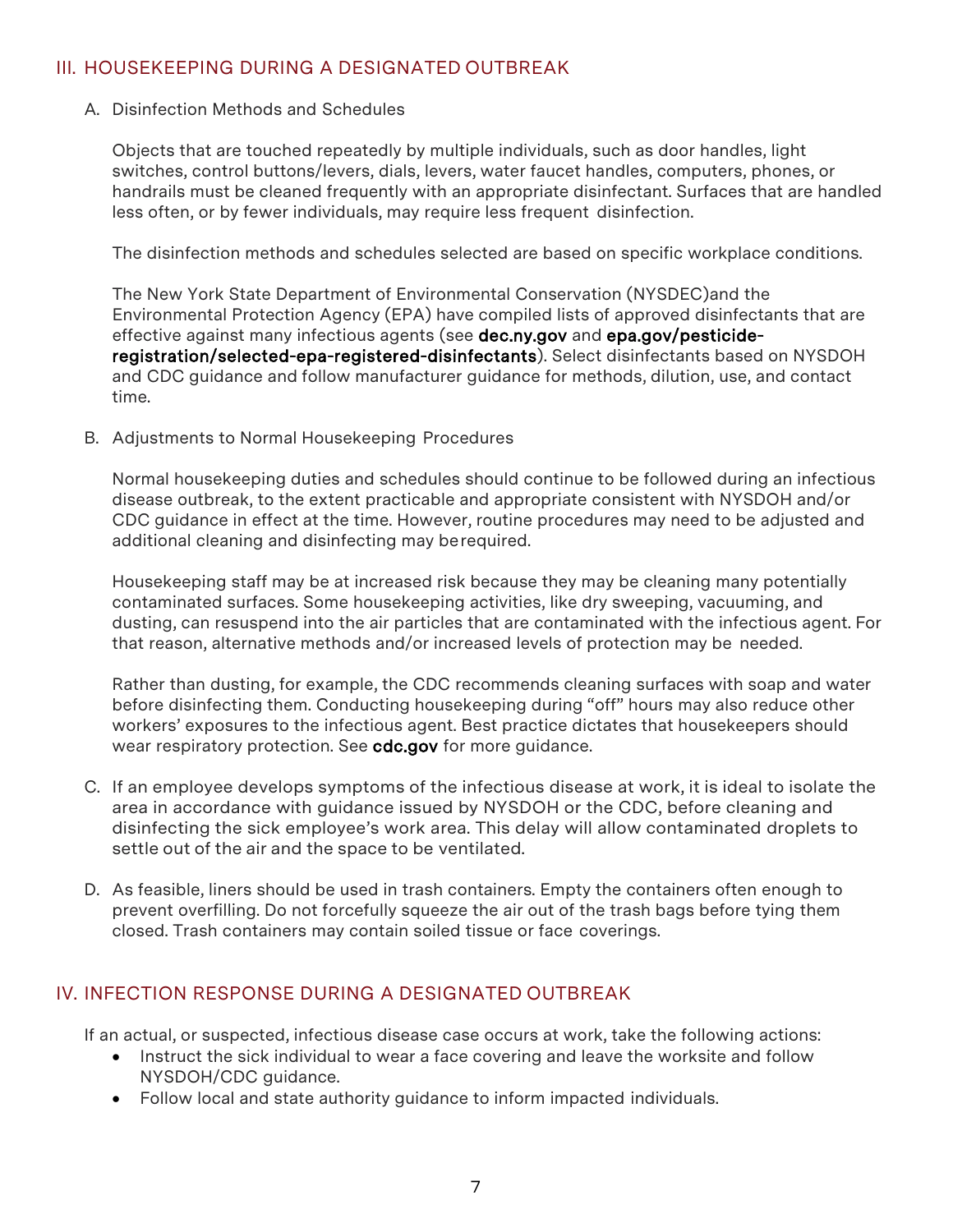# <span id="page-6-0"></span>III. HOUSEKEEPING DURING A DESIGNATED OUTBREAK

#### A. Disinfection Methods and Schedules

Objects that are touched repeatedly by multiple individuals, such as door handles, light switches, control buttons/levers, dials, levers, water faucet handles, computers, phones, or handrails must be cleaned frequently with an appropriate disinfectant. Surfaces that are handled less often, or by fewer individuals, may require less frequent disinfection.

The disinfection methods and schedules selected are based on specific workplace conditions.

The New York State Department of Environmental Conservation (NYSDEC)and the Environmental Protection Agency (EPA) have compiled lists of approved disinfectants that are effective against many infectious agents (see [dec.ny.gov](https://www.dec.ny.gov/) and [epa.gov/pesticide](https://www.epa.gov/pesticide-registration/selected-epa-registered-disinfectants)[registration/selected-epa-registered-disinfectants\)](https://www.epa.gov/pesticide-registration/selected-epa-registered-disinfectants). Select disinfectants based on NYSDOH and CDC guidance and follow manufacturer guidance for methods, dilution, use, and contact time.

B. Adjustments to Normal Housekeeping Procedures

Normal housekeeping duties and schedules should continue to be followed during an infectious disease outbreak, to the extent practicable and appropriate consistent with NYSDOH and/or CDC guidance in effect at the time. However, routine procedures may need to be adjusted and additional cleaning and disinfecting may berequired.

Housekeeping staff may be at increased risk because they may be cleaning many potentially contaminated surfaces. Some housekeeping activities, like dry sweeping, vacuuming, and dusting, can resuspend into the air particles that are contaminated with the infectious agent. For that reason, alternative methods and/or increased levels of protection may be needed.

Rather than dusting, for example, the CDC recommends cleaning surfaces with soap and water before disinfecting them. Conducting housekeeping during "off" hours may also reduce other workers' exposures to the infectious agent. Best practice dictates that housekeepers should wear respiratory protection. See [cdc.gov f](https://www.cdc.gov/)or more guidance.

- C. If an employee develops symptoms of the infectious disease at work, it is ideal to isolate the area in accordance with guidance issued by NYSDOH or the CDC, before cleaning and disinfecting the sick employee's work area. This delay will allow contaminated droplets to settle out of the air and the space to be ventilated.
- D. As feasible, liners should be used in trash containers. Empty the containers often enough to prevent overfilling. Do not forcefully squeeze the air out of the trash bags before tying them closed. Trash containers may contain soiled tissue or face coverings.

# IV. INFECTION RESPONSE DURING A DESIGNATED OUTBREAK

If an actual, or suspected, infectious disease case occurs at work, take the following actions:

- Instruct the sick individual to wear a face covering and leave the worksite and follow NYSDOH/CDC guidance.
- Follow local and state authority guidance to inform impacted individuals.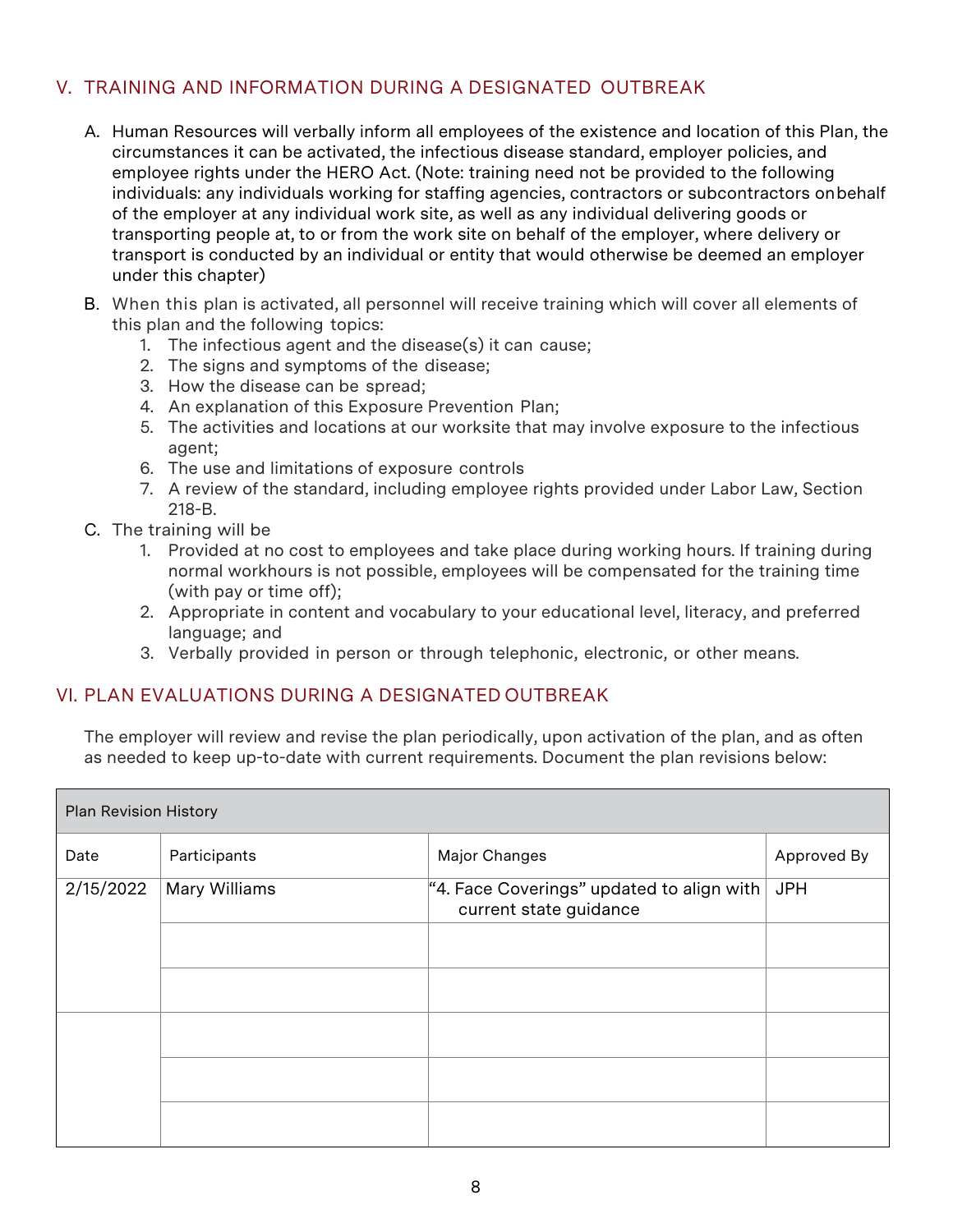# V. TRAINING AND INFORMATION DURING A DESIGNATED OUTBREAK

- A. Human Resources will verbally inform all employees of the existence and location of this Plan, the circumstances it can be activated, the infectious disease standard, employer policies, and employee rights under the HERO Act. (Note: training need not be provided to the following individuals: any individuals working for staffing agencies, contractors or subcontractors onbehalf of the employer at any individual work site, as well as any individual delivering goods or transporting people at, to or from the work site on behalf of the employer, where delivery or transport is conducted by an individual or entity that would otherwise be deemed an employer under this chapter)
- B. When this plan is activated, all personnel will receive training which will cover all elements of this plan and the following topics:
	- 1. The infectious agent and the disease(s) it can cause;
	- 2. The signs and symptoms of the disease;
	- 3. How the disease can be spread;
	- 4. An explanation of this Exposure Prevention Plan;
	- 5. The activities and locations at our worksite that may involve exposure to the infectious agent;
	- 6. The use and limitations of exposure controls
	- 7. A review of the standard, including employee rights provided under Labor Law, Section 218-B.
- C. The training will be
	- 1. Provided at no cost to employees and take place during working hours. If training during normal workhours is not possible, employees will be compensated for the training time (with pay or time off);
	- 2. Appropriate in content and vocabulary to your educational level, literacy, and preferred language; and
	- 3. Verbally provided in person or through telephonic, electronic, or other means.

# VI. PLAN EVALUATIONS DURING A DESIGNATED OUTBREAK

The employer will review and revise the plan periodically, upon activation of the plan, and as often as needed to keep up-to-date with current requirements. Document the plan revisions below:

| <b>Plan Revision History</b> |               |                                                                         |             |
|------------------------------|---------------|-------------------------------------------------------------------------|-------------|
| Date                         | Participants  | Major Changes                                                           | Approved By |
| 2/15/2022                    | Mary Williams | "4. Face Coverings" updated to align with $ $<br>current state guidance | <b>JPH</b>  |
|                              |               |                                                                         |             |
|                              |               |                                                                         |             |
|                              |               |                                                                         |             |
|                              |               |                                                                         |             |
|                              |               |                                                                         |             |